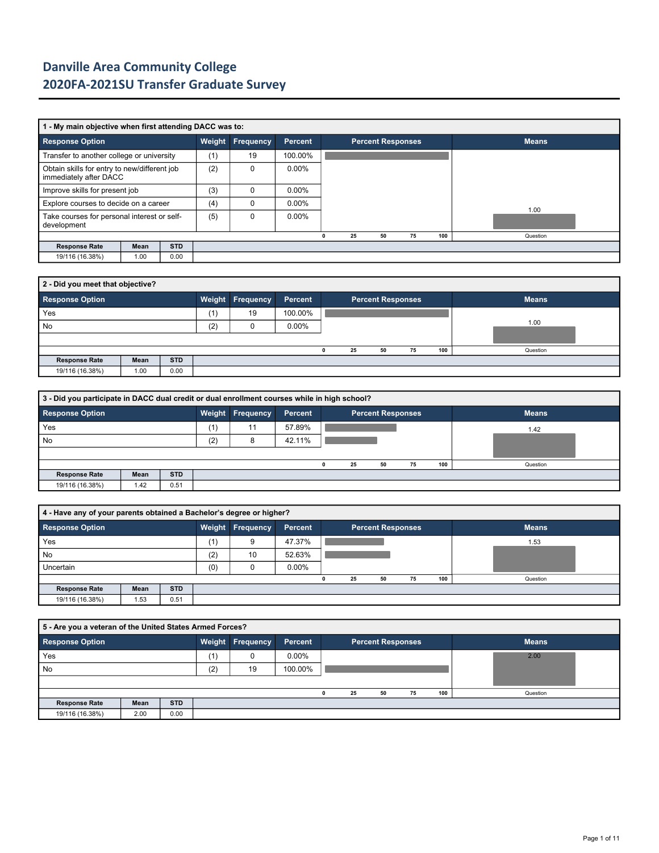|                                                                        | 1 - My main objective when first attending DACC was to: |            |               |                  |          |  |    |    |  |                          |     |              |  |  |
|------------------------------------------------------------------------|---------------------------------------------------------|------------|---------------|------------------|----------|--|----|----|--|--------------------------|-----|--------------|--|--|
| <b>Response Option</b>                                                 |                                                         |            | <b>Weight</b> | <b>Frequency</b> | Percent  |  |    |    |  | <b>Percent Responses</b> |     | <b>Means</b> |  |  |
| Transfer to another college or university                              |                                                         |            | (1)           | 19               | 100.00%  |  |    |    |  |                          |     |              |  |  |
| Obtain skills for entry to new/different job<br>immediately after DACC |                                                         |            | (2)           | $\Omega$         | $0.00\%$ |  |    |    |  |                          |     |              |  |  |
| Improve skills for present job                                         |                                                         | (3)        | $\Omega$      | $0.00\%$         |          |  |    |    |  |                          |     |              |  |  |
| Explore courses to decide on a career                                  |                                                         |            | (4)           | C                | $0.00\%$ |  |    |    |  |                          |     | 1.00         |  |  |
| Take courses for personal interest or self-<br>development             |                                                         |            | (5)           | $\Omega$         | $0.00\%$ |  |    |    |  |                          |     |              |  |  |
|                                                                        |                                                         |            |               |                  |          |  | 25 | 50 |  | 75                       | 100 | Question     |  |  |
| <b>Response Rate</b>                                                   | Mean                                                    | <b>STD</b> |               |                  |          |  |    |    |  |                          |     |              |  |  |
| 19/116 (16.38%)                                                        | 1.00                                                    | 0.00       |               |                  |          |  |    |    |  |                          |     |              |  |  |

| 2 - Did you meet that objective? |      |            |     |                         |          |   |    |                          |    |     |              |  |  |  |
|----------------------------------|------|------------|-----|-------------------------|----------|---|----|--------------------------|----|-----|--------------|--|--|--|
| <b>Response Option</b>           |      |            |     | <b>Weight Frequency</b> | Percent  |   |    | <b>Percent Responses</b> |    |     | <b>Means</b> |  |  |  |
| Yes                              |      |            | (1) | 19                      | 100.00%  |   |    |                          |    |     |              |  |  |  |
| No                               |      |            | (2) |                         | $0.00\%$ |   |    |                          |    |     | 1.00         |  |  |  |
|                                  |      |            |     |                         |          |   |    |                          |    |     |              |  |  |  |
|                                  |      |            |     |                         |          | 0 | 25 | 50                       | 75 | 100 | Question     |  |  |  |
| <b>Response Rate</b>             | Mean | <b>STD</b> |     |                         |          |   |    |                          |    |     |              |  |  |  |
| 19/116 (16.38%)                  | 1.00 | 0.00       |     |                         |          |   |    |                          |    |     |              |  |  |  |

| 3 - Did you participate in DACC dual credit or dual enrollment courses while in high school? |      |            |     |                  |         |  |    |                          |    |     |              |  |  |
|----------------------------------------------------------------------------------------------|------|------------|-----|------------------|---------|--|----|--------------------------|----|-----|--------------|--|--|
| <b>Response Option</b>                                                                       |      |            |     | Weight Frequency | Percent |  |    | <b>Percent Responses</b> |    |     | <b>Means</b> |  |  |
| Yes                                                                                          |      |            | (1) |                  | 57.89%  |  |    |                          |    |     | 1.42         |  |  |
| No                                                                                           |      |            | (2) | 8                | 42.11%  |  |    |                          |    |     |              |  |  |
|                                                                                              |      |            |     |                  |         |  |    |                          |    |     |              |  |  |
|                                                                                              |      |            |     |                  |         |  | 25 | 50                       | 75 | 100 | Question     |  |  |
| <b>Response Rate</b>                                                                         | Mean | <b>STD</b> |     |                  |         |  |    |                          |    |     |              |  |  |
| 19/116 (16.38%)                                                                              | 1.42 | 0.51       |     |                  |         |  |    |                          |    |     |              |  |  |

| 4 - Have any of your parents obtained a Bachelor's degree or higher? |      |            |     |                         |          |    |                          |    |     |              |
|----------------------------------------------------------------------|------|------------|-----|-------------------------|----------|----|--------------------------|----|-----|--------------|
| Response Option                                                      |      |            |     | <b>Weight Frequency</b> | Percent  |    | <b>Percent Responses</b> |    |     | <b>Means</b> |
| Yes                                                                  |      |            | (1) | 9                       | 47.37%   |    |                          |    |     | 1.53         |
| No                                                                   |      |            | (2) | 10                      | 52.63%   |    |                          |    |     |              |
| Uncertain                                                            |      |            | (0) |                         | $0.00\%$ |    |                          |    |     |              |
|                                                                      |      |            |     |                         |          | 25 | 50                       | 75 | 100 | Question     |
| <b>Response Rate</b>                                                 | Mean | <b>STD</b> |     |                         |          |    |                          |    |     |              |
| 19/116 (16.38%)                                                      | 1.53 | 0.51       |     |                         |          |    |                          |    |     |              |

|                      | 5 - Are you a veteran of the United States Armed Forces? |            |     |                         |          |  |    |    |                          |     |              |  |  |  |
|----------------------|----------------------------------------------------------|------------|-----|-------------------------|----------|--|----|----|--------------------------|-----|--------------|--|--|--|
| Response Option      |                                                          |            |     | <b>Weight Frequency</b> | Percent  |  |    |    | <b>Percent Responses</b> |     | <b>Means</b> |  |  |  |
| Yes                  |                                                          |            | (1) |                         | $0.00\%$ |  |    |    |                          |     | 2.00         |  |  |  |
| No                   |                                                          |            | (2) | 19                      | 100.00%  |  |    |    |                          |     |              |  |  |  |
|                      |                                                          |            |     |                         |          |  |    |    |                          |     |              |  |  |  |
|                      |                                                          |            |     |                         |          |  | 25 | 50 | 75                       | 100 | Question     |  |  |  |
| <b>Response Rate</b> | Mean                                                     | <b>STD</b> |     |                         |          |  |    |    |                          |     |              |  |  |  |
| 19/116 (16.38%)      | 2.00                                                     | 0.00       |     |                         |          |  |    |    |                          |     |              |  |  |  |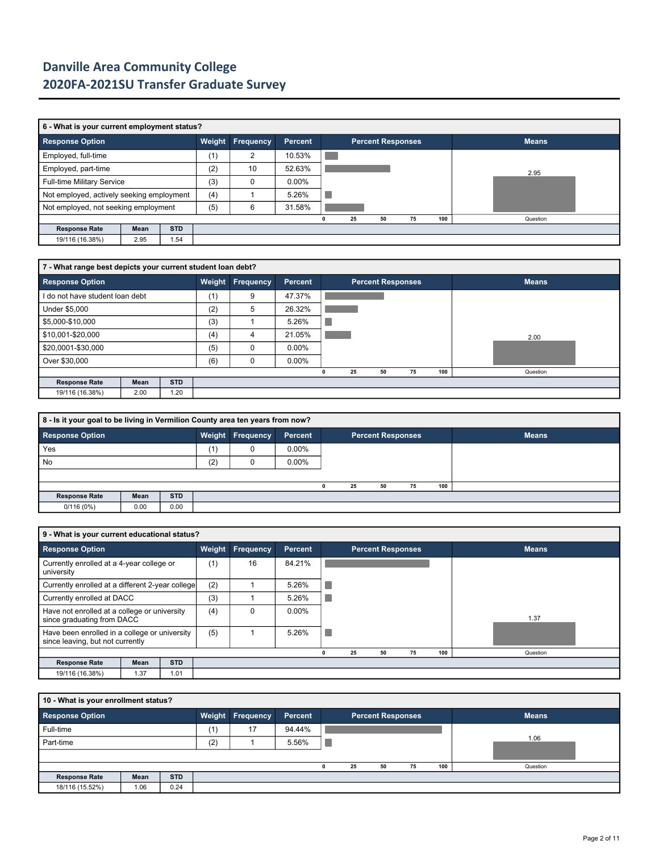|                                           | 6 - What is your current employment status? |            |     |                         |                |   |    |                          |    |     |              |  |  |  |
|-------------------------------------------|---------------------------------------------|------------|-----|-------------------------|----------------|---|----|--------------------------|----|-----|--------------|--|--|--|
| <b>Response Option</b>                    |                                             |            |     | <b>Weight Frequency</b> | <b>Percent</b> |   |    | <b>Percent Responses</b> |    |     | <b>Means</b> |  |  |  |
| Employed, full-time                       |                                             |            | (1) | 2                       | 10.53%         |   |    |                          |    |     |              |  |  |  |
| Employed, part-time                       |                                             |            | (2) | 10                      | 52.63%         |   |    |                          |    |     | 2.95         |  |  |  |
| Full-time Military Service                |                                             |            | (3) | $\Omega$                | $0.00\%$       |   |    |                          |    |     |              |  |  |  |
| Not employed, actively seeking employment |                                             |            | (4) |                         | 5.26%          |   |    |                          |    |     |              |  |  |  |
| Not employed, not seeking employment      |                                             |            | (5) | 6                       | 31.58%         |   |    |                          |    |     |              |  |  |  |
|                                           |                                             |            |     |                         |                | 0 | 25 | 50                       | 75 | 100 | Question     |  |  |  |
| <b>Response Rate</b>                      | Mean                                        | <b>STD</b> |     |                         |                |   |    |                          |    |     |              |  |  |  |
| 19/116 (16.38%)                           | 2.95                                        | 1.54       |     |                         |                |   |    |                          |    |     |              |  |  |  |

| 7 - What range best depicts your current student loan debt? |      |            |        |           |          |  |    |    |                          |     |              |  |  |
|-------------------------------------------------------------|------|------------|--------|-----------|----------|--|----|----|--------------------------|-----|--------------|--|--|
| <b>Response Option</b>                                      |      |            | Weight | Frequency | Percent  |  |    |    | <b>Percent Responses</b> |     | <b>Means</b> |  |  |
| I do not have student loan debt                             |      |            | (1)    | 9         | 47.37%   |  |    |    |                          |     |              |  |  |
| Under \$5,000                                               |      |            | (2)    | 5         | 26.32%   |  |    |    |                          |     |              |  |  |
| \$5,000-\$10,000                                            |      |            | (3)    |           | 5.26%    |  |    |    |                          |     |              |  |  |
| \$10,001-\$20,000                                           |      |            | (4)    | 4         | 21.05%   |  |    |    |                          |     | 2.00         |  |  |
| \$20,0001-\$30,000                                          |      |            | (5)    | $\Omega$  | $0.00\%$ |  |    |    |                          |     |              |  |  |
| Over \$30,000                                               |      |            | (6)    | $\Omega$  | $0.00\%$ |  |    |    |                          |     |              |  |  |
|                                                             |      |            |        |           |          |  | 25 | 50 | 75                       | 100 | Question     |  |  |
| <b>Response Rate</b>                                        | Mean | <b>STD</b> |        |           |          |  |    |    |                          |     |              |  |  |
| 19/116 (16.38%)                                             | 2.00 | 1.20       |        |           |          |  |    |    |                          |     |              |  |  |

| 8 - Is it your goal to be living in Vermilion County area ten years from now? |      |            |     |                         |          |    |                          |    |     |              |
|-------------------------------------------------------------------------------|------|------------|-----|-------------------------|----------|----|--------------------------|----|-----|--------------|
| Response Option                                                               |      |            |     | <b>Weight Frequency</b> | Percent  |    | <b>Percent Responses</b> |    |     | <b>Means</b> |
| Yes                                                                           |      |            | (1) | U                       | $0.00\%$ |    |                          |    |     |              |
| No                                                                            |      |            | (2) |                         | $0.00\%$ |    |                          |    |     |              |
|                                                                               |      |            |     |                         |          |    |                          |    |     |              |
|                                                                               |      |            |     |                         |          | 25 | 50                       | 75 | 100 |              |
| <b>Response Rate</b>                                                          | Mean | <b>STD</b> |     |                         |          |    |                          |    |     |              |
| 0/116(0%)                                                                     | 0.00 | 0.00       |     |                         |          |    |                          |    |     |              |

|                                                                                   | 9 - What is your current educational status? |            |     |                  |                |   |    |                          |    |     |              |  |  |  |
|-----------------------------------------------------------------------------------|----------------------------------------------|------------|-----|------------------|----------------|---|----|--------------------------|----|-----|--------------|--|--|--|
| <b>Response Option</b>                                                            |                                              |            |     | Weight Frequency | <b>Percent</b> |   |    | <b>Percent Responses</b> |    |     | <b>Means</b> |  |  |  |
| Currently enrolled at a 4-year college or<br>university                           |                                              |            | (1) | 16               | 84.21%         |   |    |                          |    |     |              |  |  |  |
| Currently enrolled at a different 2-year college                                  |                                              |            | (2) |                  | 5.26%          |   |    |                          |    |     |              |  |  |  |
|                                                                                   | Currently enrolled at DACC                   |            |     |                  | 5.26%          |   |    |                          |    |     |              |  |  |  |
| Have not enrolled at a college or university<br>since graduating from DACC        |                                              |            | (4) | 0                | $0.00\%$       |   |    |                          |    |     | 1.37         |  |  |  |
| Have been enrolled in a college or university<br>since leaving, but not currently |                                              | (5)        |     | 5.26%            |                |   |    |                          |    |     |              |  |  |  |
|                                                                                   |                                              |            |     |                  |                | n | 25 | 50                       | 75 | 100 | Question     |  |  |  |
| <b>Response Rate</b>                                                              | Mean                                         | <b>STD</b> |     |                  |                |   |    |                          |    |     |              |  |  |  |
| 19/116 (16.38%)                                                                   | 1.37                                         | 1.01       |     |                  |                |   |    |                          |    |     |              |  |  |  |

| 10 - What is your enrollment status? |      |            |     |                         |         |  |    |                          |    |     |              |  |  |  |
|--------------------------------------|------|------------|-----|-------------------------|---------|--|----|--------------------------|----|-----|--------------|--|--|--|
| <b>Response Option</b>               |      |            |     | <b>Weight Frequency</b> | Percent |  |    | <b>Percent Responses</b> |    |     | <b>Means</b> |  |  |  |
| Full-time                            |      |            | (1) | 17                      | 94.44%  |  |    |                          |    |     |              |  |  |  |
| Part-time                            |      |            | (2) |                         | 5.56%   |  |    |                          |    |     | 1.06         |  |  |  |
|                                      |      |            |     |                         |         |  |    |                          |    |     |              |  |  |  |
|                                      |      |            |     |                         |         |  | 25 | 50                       | 75 | 100 | Question     |  |  |  |
| <b>Response Rate</b>                 | Mean | <b>STD</b> |     |                         |         |  |    |                          |    |     |              |  |  |  |
| 18/116 (15.52%)                      | 1.06 | 0.24       |     |                         |         |  |    |                          |    |     |              |  |  |  |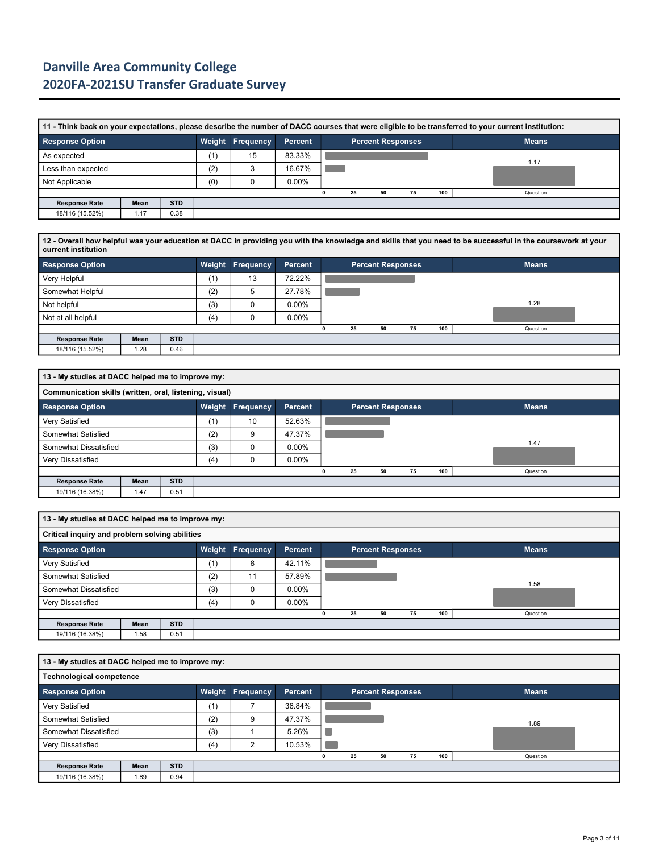|                        | 11 - Think back on your expectations, please describe the number of DACC courses that were eligible to be transferred to your current institution: |            |        |                  |          |  |    |                          |    |     |              |  |  |  |  |
|------------------------|----------------------------------------------------------------------------------------------------------------------------------------------------|------------|--------|------------------|----------|--|----|--------------------------|----|-----|--------------|--|--|--|--|
| <b>Response Option</b> |                                                                                                                                                    |            | Weight | <b>Frequency</b> | Percent  |  |    | <b>Percent Responses</b> |    |     | <b>Means</b> |  |  |  |  |
| As expected            |                                                                                                                                                    |            | (1)    | 15               | 83.33%   |  |    |                          |    |     | 1.17         |  |  |  |  |
| Less than expected     |                                                                                                                                                    |            | (2)    |                  | 16.67%   |  |    |                          |    |     |              |  |  |  |  |
| Not Applicable         |                                                                                                                                                    |            | (0)    |                  | $0.00\%$ |  |    |                          |    |     |              |  |  |  |  |
|                        |                                                                                                                                                    |            |        |                  |          |  | 25 | 50                       | 75 | 100 | Question     |  |  |  |  |
| <b>Response Rate</b>   | Mean                                                                                                                                               | <b>STD</b> |        |                  |          |  |    |                          |    |     |              |  |  |  |  |
| 18/116 (15.52%)        | 1.17                                                                                                                                               | 0.38       |        |                  |          |  |    |                          |    |     |              |  |  |  |  |

**12 - Overall how helpful was your education at DACC in providing you with the knowledge and skills that you need to be successful in the coursework at your current institution**

| <b>Response Option</b> |      |            |     | <b>Weight Frequency</b> | Percent  |    | <b>Percent Responses</b> |    |     | <b>Means</b> |
|------------------------|------|------------|-----|-------------------------|----------|----|--------------------------|----|-----|--------------|
| Very Helpful           |      |            | (1) | 13                      | 72.22%   |    |                          |    |     |              |
| Somewhat Helpful       |      |            | (2) | b                       | 27.78%   |    |                          |    |     |              |
| Not helpful            |      |            | (3) |                         | $0.00\%$ |    |                          |    |     | 1.28         |
| Not at all helpful     |      |            | (4) |                         | $0.00\%$ |    |                          |    |     |              |
|                        |      |            |     |                         |          | 25 | 50                       | 75 | 100 | Question     |
| <b>Response Rate</b>   | Mean | <b>STD</b> |     |                         |          |    |                          |    |     |              |
| 18/116 (15.52%)        | 1.28 | 0.46       |     |                         |          |    |                          |    |     |              |

|                        | 13 - My studies at DACC helped me to improve my:        |            |        |           |          |  |    |    |                          |     |              |  |  |  |  |
|------------------------|---------------------------------------------------------|------------|--------|-----------|----------|--|----|----|--------------------------|-----|--------------|--|--|--|--|
|                        | Communication skills (written, oral, listening, visual) |            |        |           |          |  |    |    |                          |     |              |  |  |  |  |
| <b>Response Option</b> |                                                         |            | Weight | Frequency | Percent  |  |    |    | <b>Percent Responses</b> |     | <b>Means</b> |  |  |  |  |
| Very Satisfied         |                                                         |            | (1)    | 10        | 52.63%   |  |    |    |                          |     |              |  |  |  |  |
| Somewhat Satisfied     |                                                         |            | (2)    | 9         | 47.37%   |  |    |    |                          |     |              |  |  |  |  |
| Somewhat Dissatisfied  |                                                         |            | (3)    |           | $0.00\%$ |  |    |    |                          |     | 1.47         |  |  |  |  |
| Very Dissatisfied      |                                                         |            | (4)    |           | $0.00\%$ |  |    |    |                          |     |              |  |  |  |  |
|                        |                                                         |            |        |           |          |  | 25 | 50 | 75                       | 100 | Question     |  |  |  |  |
| <b>Response Rate</b>   | Mean                                                    | <b>STD</b> |        |           |          |  |    |    |                          |     |              |  |  |  |  |
| 19/116 (16.38%)        | 1.47                                                    | 0.51       |        |           |          |  |    |    |                          |     |              |  |  |  |  |

|                                                | 13 - My studies at DACC helped me to improve my: |            |     |                         |                |   |    |    |  |                          |     |              |  |  |
|------------------------------------------------|--------------------------------------------------|------------|-----|-------------------------|----------------|---|----|----|--|--------------------------|-----|--------------|--|--|
| Critical inquiry and problem solving abilities |                                                  |            |     |                         |                |   |    |    |  |                          |     |              |  |  |
| <b>Response Option</b>                         |                                                  |            |     | <b>Weight Frequency</b> | <b>Percent</b> |   |    |    |  | <b>Percent Responses</b> |     | <b>Means</b> |  |  |
| Very Satisfied                                 |                                                  |            | (1) | 8                       | 42.11%         |   |    |    |  |                          |     |              |  |  |
| Somewhat Satisfied                             |                                                  |            | (2) | 11                      | 57.89%         |   |    |    |  |                          |     |              |  |  |
| Somewhat Dissatisfied                          |                                                  |            | (3) | $\Omega$                | $0.00\%$       |   |    |    |  |                          |     | 1.58         |  |  |
| Very Dissatisfied                              |                                                  |            | (4) | 0                       | $0.00\%$       |   |    |    |  |                          |     |              |  |  |
|                                                |                                                  |            |     |                         |                | 0 | 25 | 50 |  | 75                       | 100 | Question     |  |  |
| <b>Response Rate</b>                           | Mean                                             | <b>STD</b> |     |                         |                |   |    |    |  |                          |     |              |  |  |
| 19/116 (16.38%)                                | 1.58                                             | 0.51       |     |                         |                |   |    |    |  |                          |     |              |  |  |

|                       | 13 - My studies at DACC helped me to improve my: |            |     |                         |         |  |    |    |                          |     |              |  |  |  |  |
|-----------------------|--------------------------------------------------|------------|-----|-------------------------|---------|--|----|----|--------------------------|-----|--------------|--|--|--|--|
|                       | <b>Technological competence</b>                  |            |     |                         |         |  |    |    |                          |     |              |  |  |  |  |
| Response Option       |                                                  |            |     | <b>Weight Frequency</b> | Percent |  |    |    | <b>Percent Responses</b> |     | <b>Means</b> |  |  |  |  |
| Very Satisfied        |                                                  |            | (1) |                         | 36.84%  |  |    |    |                          |     |              |  |  |  |  |
| Somewhat Satisfied    |                                                  |            | (2) | 9                       | 47.37%  |  |    |    |                          |     | 1.89         |  |  |  |  |
| Somewhat Dissatisfied |                                                  |            | (3) |                         | 5.26%   |  |    |    |                          |     |              |  |  |  |  |
| Very Dissatisfied     |                                                  |            | (4) | າ                       | 10.53%  |  |    |    |                          |     |              |  |  |  |  |
|                       |                                                  |            |     |                         |         |  | 25 | 50 | 75                       | 100 | Question     |  |  |  |  |
| <b>Response Rate</b>  | Mean                                             | <b>STD</b> |     |                         |         |  |    |    |                          |     |              |  |  |  |  |
| 19/116 (16.38%)       | 1.89                                             | 0.94       |     |                         |         |  |    |    |                          |     |              |  |  |  |  |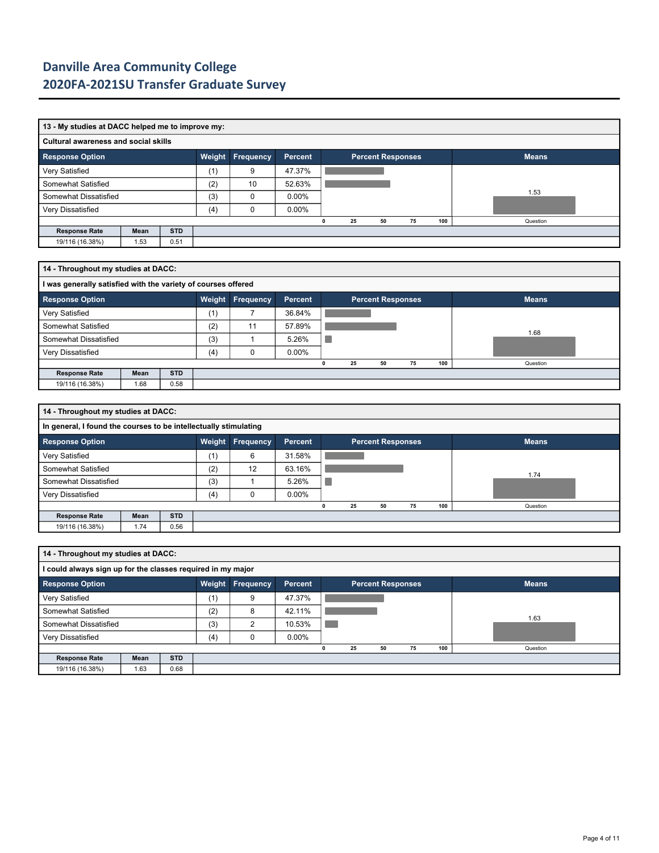| 13 - My studies at DACC helped me to improve my: |      |            |     |                         |                |  |    |                          |      |     |              |  |  |  |
|--------------------------------------------------|------|------------|-----|-------------------------|----------------|--|----|--------------------------|------|-----|--------------|--|--|--|
| <b>Cultural awareness and social skills</b>      |      |            |     |                         |                |  |    |                          |      |     |              |  |  |  |
| <b>Response Option</b>                           |      |            |     | <b>Weight Frequency</b> | <b>Percent</b> |  |    | <b>Percent Responses</b> |      |     | <b>Means</b> |  |  |  |
| Very Satisfied                                   |      |            | (1) | 9                       | 47.37%         |  |    |                          |      |     |              |  |  |  |
| Somewhat Satisfied                               |      |            | (2) | 10                      | 52.63%         |  |    |                          |      |     |              |  |  |  |
| Somewhat Dissatisfied                            |      |            | (3) | 0                       | $0.00\%$       |  |    |                          | 1.53 |     |              |  |  |  |
| Very Dissatisfied                                |      |            | (4) | 0                       | $0.00\%$       |  |    |                          |      |     |              |  |  |  |
|                                                  |      |            |     |                         |                |  | 25 | 50                       | 75   | 100 | Question     |  |  |  |
| <b>Response Rate</b>                             | Mean | <b>STD</b> |     |                         |                |  |    |                          |      |     |              |  |  |  |
| 19/116 (16.38%)                                  | 1.53 | 0.51       |     |                         |                |  |    |                          |      |     |              |  |  |  |

| 14 - Throughout my studies at DACC: |                                                               |            |        |                  |                |  |    |                          |    |     |              |  |  |  |  |
|-------------------------------------|---------------------------------------------------------------|------------|--------|------------------|----------------|--|----|--------------------------|----|-----|--------------|--|--|--|--|
|                                     | I was generally satisfied with the variety of courses offered |            |        |                  |                |  |    |                          |    |     |              |  |  |  |  |
| <b>Response Option</b>              |                                                               |            | Weight | <b>Frequency</b> | <b>Percent</b> |  |    | <b>Percent Responses</b> |    |     | <b>Means</b> |  |  |  |  |
| Very Satisfied                      |                                                               |            | (1)    |                  | 36.84%         |  |    |                          |    |     |              |  |  |  |  |
| Somewhat Satisfied                  |                                                               |            | (2)    | 11               | 57.89%         |  |    |                          |    |     | 1.68         |  |  |  |  |
| Somewhat Dissatisfied               |                                                               |            | (3)    |                  | 5.26%          |  |    |                          |    |     |              |  |  |  |  |
| Very Dissatisfied                   |                                                               |            | (4)    | 0                | $0.00\%$       |  |    |                          |    |     |              |  |  |  |  |
|                                     |                                                               |            |        |                  |                |  | 25 | 50                       | 75 | 100 | Question     |  |  |  |  |
| <b>Response Rate</b>                | Mean                                                          | <b>STD</b> |        |                  |                |  |    |                          |    |     |              |  |  |  |  |
| 19/116 (16.38%)                     | 1.68                                                          | 0.58       |        |                  |                |  |    |                          |    |     |              |  |  |  |  |

|                       | 14 - Throughout my studies at DACC:                              |            |     |                         |                |   |    |                          |    |     |              |  |  |  |  |
|-----------------------|------------------------------------------------------------------|------------|-----|-------------------------|----------------|---|----|--------------------------|----|-----|--------------|--|--|--|--|
|                       | In general, I found the courses to be intellectually stimulating |            |     |                         |                |   |    |                          |    |     |              |  |  |  |  |
| Response Option       |                                                                  |            |     | <b>Weight Frequency</b> | <b>Percent</b> |   |    | <b>Percent Responses</b> |    |     | <b>Means</b> |  |  |  |  |
| Very Satisfied        |                                                                  |            | (1) | 6                       | 31.58%         |   |    |                          |    |     |              |  |  |  |  |
| Somewhat Satisfied    |                                                                  |            | (2) | 12                      | 63.16%         |   |    |                          |    |     | 1.74         |  |  |  |  |
| Somewhat Dissatisfied |                                                                  |            | (3) |                         | 5.26%          |   |    |                          |    |     |              |  |  |  |  |
| Very Dissatisfied     |                                                                  |            | (4) |                         | $0.00\%$       |   |    |                          |    |     |              |  |  |  |  |
|                       |                                                                  |            |     |                         |                | 0 | 25 | 50                       | 75 | 100 | Question     |  |  |  |  |
| <b>Response Rate</b>  | Mean                                                             | <b>STD</b> |     |                         |                |   |    |                          |    |     |              |  |  |  |  |
| 19/116 (16.38%)       | 1.74                                                             | 0.56       |     |                         |                |   |    |                          |    |     |              |  |  |  |  |

|                                                             | 14 - Throughout my studies at DACC: |            |        |                  |          |  |    |    |                          |     |              |  |  |  |
|-------------------------------------------------------------|-------------------------------------|------------|--------|------------------|----------|--|----|----|--------------------------|-----|--------------|--|--|--|
| I could always sign up for the classes required in my major |                                     |            |        |                  |          |  |    |    |                          |     |              |  |  |  |
| <b>Response Option</b>                                      |                                     |            | Weight | <b>Frequency</b> | Percent  |  |    |    | <b>Percent Responses</b> |     | <b>Means</b> |  |  |  |
| Very Satisfied                                              |                                     |            | (1)    | 9                | 47.37%   |  |    |    |                          |     |              |  |  |  |
| Somewhat Satisfied                                          |                                     |            | (2)    | 8                | 42.11%   |  |    |    |                          |     |              |  |  |  |
| Somewhat Dissatisfied                                       |                                     |            | (3)    | C                | 10.53%   |  |    |    |                          |     | 1.63         |  |  |  |
| Very Dissatisfied                                           |                                     |            | (4)    | 0                | $0.00\%$ |  |    |    |                          |     |              |  |  |  |
|                                                             |                                     |            |        |                  |          |  | 25 | 50 | 75                       | 100 | Question     |  |  |  |
| <b>Response Rate</b>                                        | Mean                                | <b>STD</b> |        |                  |          |  |    |    |                          |     |              |  |  |  |
| 19/116 (16.38%)                                             | 1.63                                | 0.68       |        |                  |          |  |    |    |                          |     |              |  |  |  |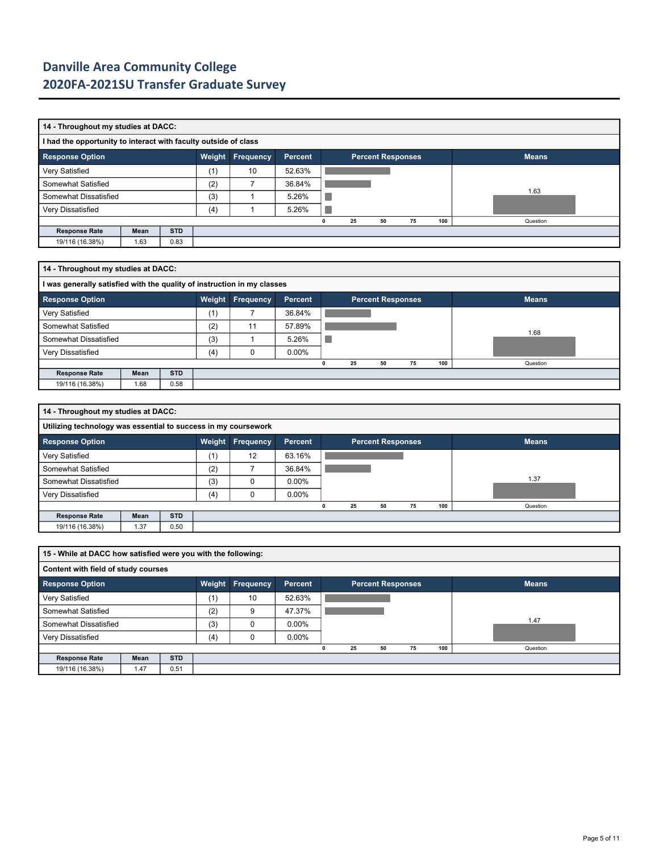|                        | 14 - Throughout my studies at DACC:                             |            |        |           |         |  |    |    |                          |     |              |  |  |  |  |
|------------------------|-----------------------------------------------------------------|------------|--------|-----------|---------|--|----|----|--------------------------|-----|--------------|--|--|--|--|
|                        | I had the opportunity to interact with faculty outside of class |            |        |           |         |  |    |    |                          |     |              |  |  |  |  |
| <b>Response Option</b> |                                                                 |            | Weight | Frequency | Percent |  |    |    | <b>Percent Responses</b> |     | <b>Means</b> |  |  |  |  |
| Very Satisfied         |                                                                 |            | (1)    | 10        | 52.63%  |  |    |    |                          |     |              |  |  |  |  |
| Somewhat Satisfied     |                                                                 |            | (2)    |           | 36.84%  |  |    |    |                          |     |              |  |  |  |  |
| Somewhat Dissatisfied  |                                                                 |            | (3)    |           | 5.26%   |  |    |    |                          |     | 1.63         |  |  |  |  |
| Very Dissatisfied      |                                                                 |            | (4)    |           | 5.26%   |  |    |    |                          |     |              |  |  |  |  |
|                        |                                                                 |            |        |           |         |  | 25 | 50 | 75                       | 100 | Question     |  |  |  |  |
| <b>Response Rate</b>   | Mean                                                            | <b>STD</b> |        |           |         |  |    |    |                          |     |              |  |  |  |  |
| 19/116 (16.38%)        | 1.63                                                            | 0.83       |        |           |         |  |    |    |                          |     |              |  |  |  |  |

| 14 - Throughout my studies at DACC:                                     |      |            |     |                  |          |  |    |                          |    |     |              |  |  |  |
|-------------------------------------------------------------------------|------|------------|-----|------------------|----------|--|----|--------------------------|----|-----|--------------|--|--|--|
| I was generally satisfied with the quality of instruction in my classes |      |            |     |                  |          |  |    |                          |    |     |              |  |  |  |
| <b>Response Option</b>                                                  |      |            |     | Weight Frequency | Percent  |  |    | <b>Percent Responses</b> |    |     | <b>Means</b> |  |  |  |
| Very Satisfied                                                          |      |            | (1) |                  | 36.84%   |  |    |                          |    |     |              |  |  |  |
| Somewhat Satisfied                                                      |      |            | (2) | 11               | 57.89%   |  |    |                          |    |     | 1.68         |  |  |  |
| Somewhat Dissatisfied                                                   |      |            | (3) |                  | 5.26%    |  |    |                          |    |     |              |  |  |  |
| Very Dissatisfied                                                       |      |            | (4) | 0                | $0.00\%$ |  |    |                          |    |     |              |  |  |  |
|                                                                         |      |            |     |                  |          |  | 25 | 50                       | 75 | 100 | Question     |  |  |  |
| <b>Response Rate</b>                                                    | Mean | <b>STD</b> |     |                  |          |  |    |                          |    |     |              |  |  |  |
| 19/116 (16.38%)                                                         | 1.68 | 0.58       |     |                  |          |  |    |                          |    |     |              |  |  |  |

| 14 - Throughout my studies at DACC:                            |      |            |     |          |                |   |    |                          |    |     |              |  |  |  |
|----------------------------------------------------------------|------|------------|-----|----------|----------------|---|----|--------------------------|----|-----|--------------|--|--|--|
| Utilizing technology was essential to success in my coursework |      |            |     |          |                |   |    |                          |    |     |              |  |  |  |
| <b>Response Option</b>                                         |      |            |     |          | <b>Percent</b> |   |    | <b>Percent Responses</b> |    |     | <b>Means</b> |  |  |  |
| Very Satisfied                                                 |      |            | (1) | 12       | 63.16%         |   |    |                          |    |     |              |  |  |  |
| Somewhat Satisfied                                             |      |            | (2) |          | 36.84%         |   |    |                          |    |     |              |  |  |  |
| Somewhat Dissatisfied                                          |      |            | (3) | $\Omega$ | $0.00\%$       |   |    |                          |    |     | 1.37         |  |  |  |
| Very Dissatisfied                                              |      |            | (4) |          | $0.00\%$       |   |    |                          |    |     |              |  |  |  |
|                                                                |      |            |     |          |                | 0 | 25 | 50                       | 75 | 100 | Question     |  |  |  |
| <b>Response Rate</b>                                           | Mean | <b>STD</b> |     |          |                |   |    |                          |    |     |              |  |  |  |
| 19/116 (16.38%)                                                | 1.37 | 0.50       |     |          |                |   |    |                          |    |     |              |  |  |  |

|                        | 15 - While at DACC how satisfied were you with the following: |            |        |                  |          |  |    |    |                          |     |              |  |  |  |  |
|------------------------|---------------------------------------------------------------|------------|--------|------------------|----------|--|----|----|--------------------------|-----|--------------|--|--|--|--|
|                        | Content with field of study courses                           |            |        |                  |          |  |    |    |                          |     |              |  |  |  |  |
| <b>Response Option</b> |                                                               |            | Weight | <b>Frequency</b> | Percent  |  |    |    | <b>Percent Responses</b> |     | <b>Means</b> |  |  |  |  |
| Very Satisfied         |                                                               |            | (1)    | 10               | 52.63%   |  |    |    |                          |     |              |  |  |  |  |
| Somewhat Satisfied     |                                                               |            | (2)    | 9                | 47.37%   |  |    |    |                          |     |              |  |  |  |  |
| Somewhat Dissatisfied  |                                                               |            | (3)    | $\Omega$         | $0.00\%$ |  |    |    |                          |     | 1.47         |  |  |  |  |
| Very Dissatisfied      |                                                               |            | (4)    | 0                | $0.00\%$ |  |    |    |                          |     |              |  |  |  |  |
|                        |                                                               |            |        |                  |          |  | 25 | 50 | 75                       | 100 | Question     |  |  |  |  |
| <b>Response Rate</b>   | Mean                                                          | <b>STD</b> |        |                  |          |  |    |    |                          |     |              |  |  |  |  |
| 19/116 (16.38%)        | 1.47                                                          | 0.51       |        |                  |          |  |    |    |                          |     |              |  |  |  |  |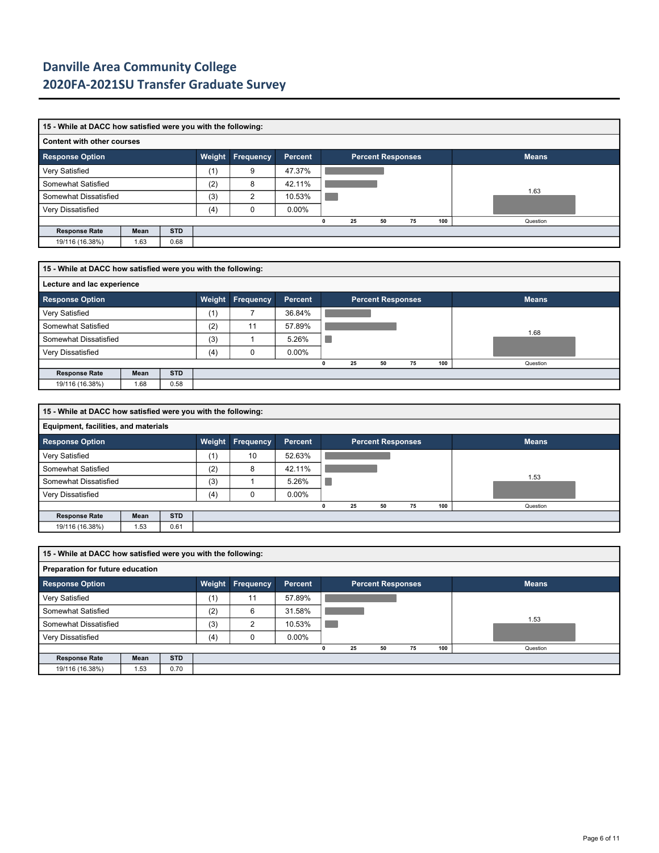|                        | 15 - While at DACC how satisfied were you with the following: |            |     |                |          |  |    |    |                          |     |              |  |  |  |  |
|------------------------|---------------------------------------------------------------|------------|-----|----------------|----------|--|----|----|--------------------------|-----|--------------|--|--|--|--|
|                        | <b>Content with other courses</b>                             |            |     |                |          |  |    |    |                          |     |              |  |  |  |  |
| <b>Response Option</b> |                                                               |            |     |                | Percent  |  |    |    | <b>Percent Responses</b> |     | <b>Means</b> |  |  |  |  |
| Very Satisfied         |                                                               |            | (1) | 9              | 47.37%   |  |    |    |                          |     |              |  |  |  |  |
| Somewhat Satisfied     |                                                               |            | (2) | 8              | 42.11%   |  |    |    |                          |     |              |  |  |  |  |
| Somewhat Dissatisfied  |                                                               |            | (3) | $\overline{2}$ | 10.53%   |  |    |    |                          |     | 1.63         |  |  |  |  |
| Very Dissatisfied      |                                                               |            | (4) |                | $0.00\%$ |  |    |    |                          |     |              |  |  |  |  |
|                        |                                                               |            |     |                |          |  | 25 | 50 | 75                       | 100 | Question     |  |  |  |  |
| <b>Response Rate</b>   | Mean                                                          | <b>STD</b> |     |                |          |  |    |    |                          |     |              |  |  |  |  |
| 19/116 (16.38%)        | 1.63                                                          | 0.68       |     |                |          |  |    |    |                          |     |              |  |  |  |  |

|                        | 15 - While at DACC how satisfied were you with the following: |            |     |                         |                |  |    |    |                          |     |              |  |  |  |  |
|------------------------|---------------------------------------------------------------|------------|-----|-------------------------|----------------|--|----|----|--------------------------|-----|--------------|--|--|--|--|
|                        | Lecture and lac experience                                    |            |     |                         |                |  |    |    |                          |     |              |  |  |  |  |
| <b>Response Option</b> |                                                               |            |     | <b>Weight Frequency</b> | <b>Percent</b> |  |    |    | <b>Percent Responses</b> |     | <b>Means</b> |  |  |  |  |
| Very Satisfied         |                                                               |            | (1) |                         | 36.84%         |  |    |    |                          |     |              |  |  |  |  |
| Somewhat Satisfied     |                                                               |            | (2) | 11                      | 57.89%         |  |    |    |                          |     | 1.68         |  |  |  |  |
| Somewhat Dissatisfied  |                                                               |            | (3) |                         | 5.26%          |  |    |    |                          |     |              |  |  |  |  |
| Very Dissatisfied      |                                                               |            | (4) | $\Omega$                | $0.00\%$       |  |    |    |                          |     |              |  |  |  |  |
|                        |                                                               |            |     |                         |                |  | 25 | 50 | 75                       | 100 | Question     |  |  |  |  |
| <b>Response Rate</b>   | Mean                                                          | <b>STD</b> |     |                         |                |  |    |    |                          |     |              |  |  |  |  |
| 19/116 (16.38%)        | 1.68                                                          | 0.58       |     |                         |                |  |    |    |                          |     |              |  |  |  |  |

|                                      | 15 - While at DACC how satisfied were you with the following: |            |        |                  |          |   |    |                          |    |     |              |  |  |  |
|--------------------------------------|---------------------------------------------------------------|------------|--------|------------------|----------|---|----|--------------------------|----|-----|--------------|--|--|--|
| Equipment, facilities, and materials |                                                               |            |        |                  |          |   |    |                          |    |     |              |  |  |  |
| <b>Response Option</b>               |                                                               |            | Weight | <b>Frequency</b> | Percent  |   |    | <b>Percent Responses</b> |    |     | <b>Means</b> |  |  |  |
| Very Satisfied                       |                                                               |            | (1)    | 10               | 52.63%   |   |    |                          |    |     |              |  |  |  |
| Somewhat Satisfied                   |                                                               |            | (2)    | 8                | 42.11%   |   |    |                          |    |     |              |  |  |  |
| Somewhat Dissatisfied                |                                                               |            | (3)    |                  | 5.26%    |   |    |                          |    |     | 1.53         |  |  |  |
| Very Dissatisfied                    |                                                               |            | (4)    | 0                | $0.00\%$ |   |    |                          |    |     |              |  |  |  |
|                                      |                                                               |            |        |                  |          | 0 | 25 | 50                       | 75 | 100 | Question     |  |  |  |
| <b>Response Rate</b>                 | Mean                                                          | <b>STD</b> |        |                  |          |   |    |                          |    |     |              |  |  |  |
| 19/116 (16.38%)                      | 1.53                                                          | 0.61       |        |                  |          |   |    |                          |    |     |              |  |  |  |

|                        | 15 - While at DACC how satisfied were you with the following: |            |        |                  |          |  |    |                          |    |     |              |  |  |  |
|------------------------|---------------------------------------------------------------|------------|--------|------------------|----------|--|----|--------------------------|----|-----|--------------|--|--|--|
|                        | Preparation for future education                              |            |        |                  |          |  |    |                          |    |     |              |  |  |  |
| <b>Response Option</b> |                                                               |            | Weight | <b>Frequency</b> | Percent  |  |    | <b>Percent Responses</b> |    |     | <b>Means</b> |  |  |  |
| Very Satisfied         |                                                               |            | (1)    | 11               | 57.89%   |  |    |                          |    |     |              |  |  |  |
| Somewhat Satisfied     |                                                               |            | (2)    | 6                | 31.58%   |  |    |                          |    |     |              |  |  |  |
| Somewhat Dissatisfied  |                                                               |            | (3)    | ົ                | 10.53%   |  |    |                          |    |     | 1.53         |  |  |  |
| Very Dissatisfied      |                                                               |            | (4)    | O                | $0.00\%$ |  |    |                          |    |     |              |  |  |  |
|                        |                                                               |            |        |                  |          |  | 25 | 50                       | 75 | 100 | Question     |  |  |  |
| <b>Response Rate</b>   | Mean                                                          | <b>STD</b> |        |                  |          |  |    |                          |    |     |              |  |  |  |
| 19/116 (16.38%)        | .53                                                           | 0.70       |        |                  |          |  |    |                          |    |     |              |  |  |  |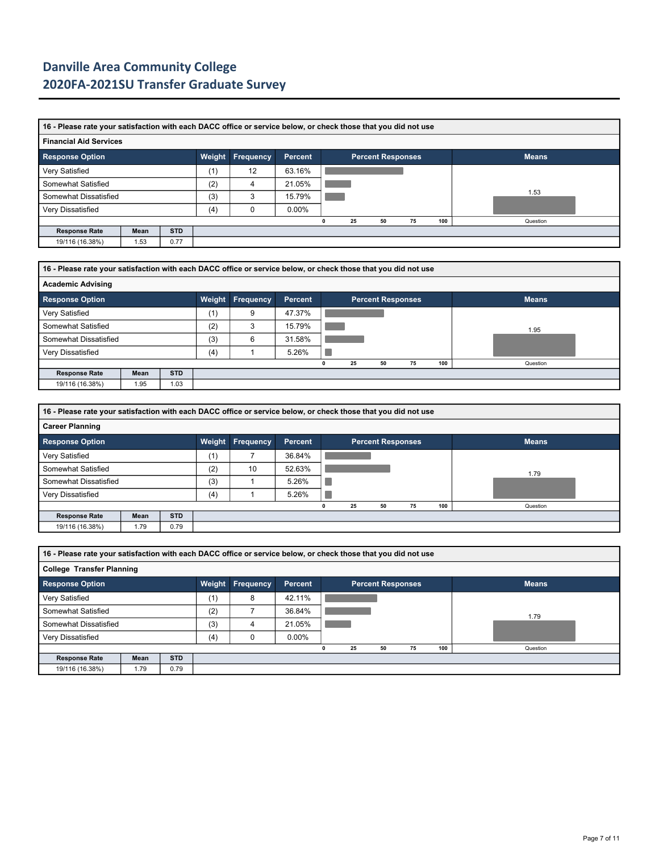|                               | 16 - Please rate your satisfaction with each DACC office or service below, or check those that you did not use |            |     |    |                |   |    |                          |    |  |     |              |  |  |
|-------------------------------|----------------------------------------------------------------------------------------------------------------|------------|-----|----|----------------|---|----|--------------------------|----|--|-----|--------------|--|--|
| <b>Financial Aid Services</b> |                                                                                                                |            |     |    |                |   |    |                          |    |  |     |              |  |  |
| <b>Response Option</b>        |                                                                                                                |            |     |    | <b>Percent</b> |   |    | <b>Percent Responses</b> |    |  |     | <b>Means</b> |  |  |
| Very Satisfied                |                                                                                                                |            | (1) | 12 | 63.16%         |   |    |                          |    |  |     |              |  |  |
| Somewhat Satisfied            |                                                                                                                |            | (2) |    | 21.05%         |   |    |                          |    |  |     |              |  |  |
| Somewhat Dissatisfied         |                                                                                                                |            | (3) | 3  | 15.79%         |   |    |                          |    |  |     | 1.53         |  |  |
| Very Dissatisfied             |                                                                                                                |            | (4) |    | $0.00\%$       |   |    |                          |    |  |     |              |  |  |
|                               |                                                                                                                |            |     |    |                | 0 | 25 | 50                       | 75 |  | 100 | Question     |  |  |
| <b>Response Rate</b>          | Mean                                                                                                           | <b>STD</b> |     |    |                |   |    |                          |    |  |     |              |  |  |
| 19/116 (16.38%)               | 1.53                                                                                                           | 0.77       |     |    |                |   |    |                          |    |  |     |              |  |  |

| 16 - Please rate your satisfaction with each DACC office or service below, or check those that you did not use |      |            |        |                  |         |  |    |                   |    |     |              |  |  |  |  |
|----------------------------------------------------------------------------------------------------------------|------|------------|--------|------------------|---------|--|----|-------------------|----|-----|--------------|--|--|--|--|
| <b>Academic Advising</b>                                                                                       |      |            |        |                  |         |  |    |                   |    |     |              |  |  |  |  |
| <b>Response Option</b>                                                                                         |      |            | Weight | <b>Frequency</b> | Percent |  |    | Percent Responses |    |     | <b>Means</b> |  |  |  |  |
| Very Satisfied                                                                                                 |      |            | (1)    | 9                | 47.37%  |  |    |                   |    |     |              |  |  |  |  |
| Somewhat Satisfied                                                                                             |      |            | (2)    | 3                | 15.79%  |  |    |                   |    |     | 1.95         |  |  |  |  |
| Somewhat Dissatisfied                                                                                          |      |            | (3)    | 6                | 31.58%  |  |    |                   |    |     |              |  |  |  |  |
| Very Dissatisfied                                                                                              |      |            | (4)    |                  | 5.26%   |  |    |                   |    |     |              |  |  |  |  |
|                                                                                                                |      |            |        |                  |         |  | 25 | 50                | 75 | 100 | Question     |  |  |  |  |
| <b>Response Rate</b>                                                                                           | Mean | <b>STD</b> |        |                  |         |  |    |                   |    |     |              |  |  |  |  |
| 19/116 (16.38%)                                                                                                | 1.95 | 1.03       |        |                  |         |  |    |                   |    |     |              |  |  |  |  |

|                        | 16 - Please rate your satisfaction with each DACC office or service below, or check those that you did not use |            |        |                  |         |  |    |                          |    |     |              |  |  |  |  |
|------------------------|----------------------------------------------------------------------------------------------------------------|------------|--------|------------------|---------|--|----|--------------------------|----|-----|--------------|--|--|--|--|
| <b>Career Planning</b> |                                                                                                                |            |        |                  |         |  |    |                          |    |     |              |  |  |  |  |
| <b>Response Option</b> |                                                                                                                |            | Weight | <b>Frequency</b> | Percent |  |    | <b>Percent Responses</b> |    |     | <b>Means</b> |  |  |  |  |
| Very Satisfied         |                                                                                                                |            | (1)    |                  | 36.84%  |  |    |                          |    |     |              |  |  |  |  |
| Somewhat Satisfied     |                                                                                                                |            | (2)    | 10               | 52.63%  |  |    |                          |    |     | 1.79         |  |  |  |  |
| Somewhat Dissatisfied  |                                                                                                                |            | (3)    |                  | 5.26%   |  |    |                          |    |     |              |  |  |  |  |
| Very Dissatisfied      |                                                                                                                |            | (4)    |                  | 5.26%   |  |    |                          |    |     |              |  |  |  |  |
|                        |                                                                                                                |            |        |                  |         |  | 25 | 50                       | 75 | 100 | Question     |  |  |  |  |
| <b>Response Rate</b>   | Mean                                                                                                           | <b>STD</b> |        |                  |         |  |    |                          |    |     |              |  |  |  |  |
| 19/116 (16.38%)        | 1.79                                                                                                           | 0.79       |        |                  |         |  |    |                          |    |     |              |  |  |  |  |

|                        | 16 - Please rate your satisfaction with each DACC office or service below, or check those that you did not use |            |        |           |                |  |    |    |                          |     |              |  |  |  |
|------------------------|----------------------------------------------------------------------------------------------------------------|------------|--------|-----------|----------------|--|----|----|--------------------------|-----|--------------|--|--|--|
|                        | <b>College Transfer Planning</b>                                                                               |            |        |           |                |  |    |    |                          |     |              |  |  |  |
| <b>Response Option</b> |                                                                                                                |            | Weight | Frequency | <b>Percent</b> |  |    |    | <b>Percent Responses</b> |     | <b>Means</b> |  |  |  |
| Very Satisfied         |                                                                                                                |            | (1)    | 8         | 42.11%         |  |    |    |                          |     |              |  |  |  |
| Somewhat Satisfied     |                                                                                                                |            | (2)    |           | 36.84%         |  |    |    |                          |     | 1.79         |  |  |  |
| Somewhat Dissatisfied  |                                                                                                                |            | (3)    | 4         | 21.05%         |  |    |    |                          |     |              |  |  |  |
| Very Dissatisfied      |                                                                                                                |            | (4)    |           | $0.00\%$       |  |    |    |                          |     |              |  |  |  |
|                        |                                                                                                                |            |        |           |                |  | 25 | 50 | 75                       | 100 | Question     |  |  |  |
| <b>Response Rate</b>   | Mean                                                                                                           | <b>STD</b> |        |           |                |  |    |    |                          |     |              |  |  |  |
| 19/116 (16.38%)        | 1.79                                                                                                           | 0.79       |        |           |                |  |    |    |                          |     |              |  |  |  |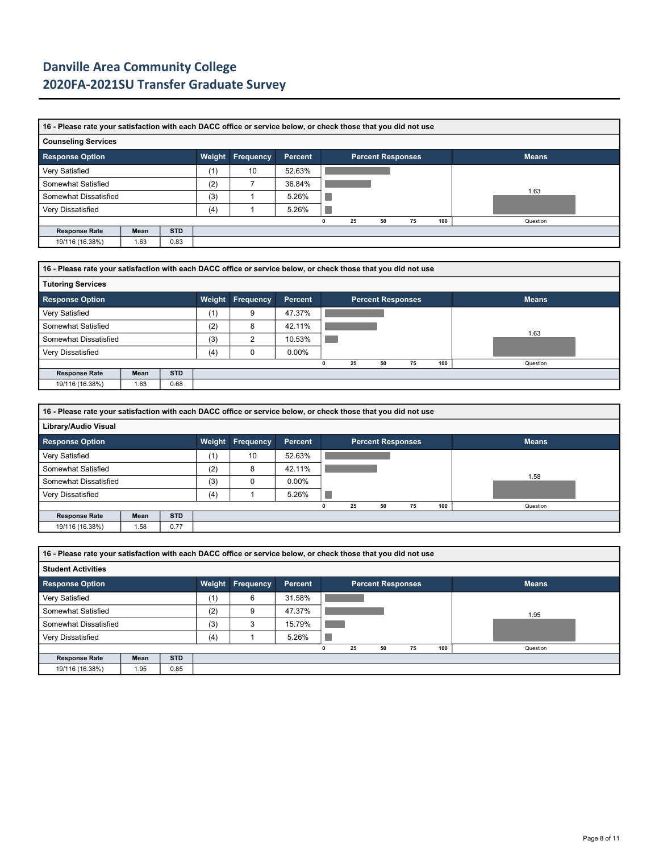|                            | 16 - Please rate your satisfaction with each DACC office or service below, or check those that you did not use |            |     |                  |                |  |    |                          |    |     |              |  |  |  |  |
|----------------------------|----------------------------------------------------------------------------------------------------------------|------------|-----|------------------|----------------|--|----|--------------------------|----|-----|--------------|--|--|--|--|
| <b>Counseling Services</b> |                                                                                                                |            |     |                  |                |  |    |                          |    |     |              |  |  |  |  |
| <b>Response Option</b>     |                                                                                                                |            |     | Weight Frequency | <b>Percent</b> |  |    | <b>Percent Responses</b> |    |     | <b>Means</b> |  |  |  |  |
| Very Satisfied             |                                                                                                                |            | (1) | 10               | 52.63%         |  |    |                          |    |     |              |  |  |  |  |
| Somewhat Satisfied         |                                                                                                                |            | (2) |                  | 36.84%         |  |    |                          |    |     |              |  |  |  |  |
| Somewhat Dissatisfied      |                                                                                                                |            | (3) |                  | 5.26%          |  |    |                          |    |     | 1.63         |  |  |  |  |
| Very Dissatisfied          |                                                                                                                |            | (4) |                  | 5.26%          |  |    |                          |    |     |              |  |  |  |  |
|                            |                                                                                                                |            |     |                  |                |  | 25 | 50                       | 75 | 100 | Question     |  |  |  |  |
| <b>Response Rate</b>       | Mean                                                                                                           | <b>STD</b> |     |                  |                |  |    |                          |    |     |              |  |  |  |  |
| 19/116 (16.38%)            | 1.63                                                                                                           | 0.83       |     |                  |                |  |    |                          |    |     |              |  |  |  |  |

| 16 - Please rate your satisfaction with each DACC office or service below, or check those that you did not use |      |            |        |           |                |  |    |                          |    |     |              |  |  |
|----------------------------------------------------------------------------------------------------------------|------|------------|--------|-----------|----------------|--|----|--------------------------|----|-----|--------------|--|--|
| <b>Tutoring Services</b>                                                                                       |      |            |        |           |                |  |    |                          |    |     |              |  |  |
| <b>Response Option</b>                                                                                         |      |            | Weight | Frequency | <b>Percent</b> |  |    | <b>Percent Responses</b> |    |     | <b>Means</b> |  |  |
| Very Satisfied                                                                                                 |      |            | (1)    | 9         | 47.37%         |  |    |                          |    |     |              |  |  |
| Somewhat Satisfied                                                                                             |      |            | (2)    | 8         | 42.11%         |  |    |                          |    |     |              |  |  |
| Somewhat Dissatisfied                                                                                          |      |            | (3)    | 2         | 10.53%         |  |    |                          |    |     | 1.63         |  |  |
| Very Dissatisfied                                                                                              |      |            | (4)    | 0         | $0.00\%$       |  |    |                          |    |     |              |  |  |
|                                                                                                                |      |            |        |           |                |  | 25 | 50                       | 75 | 100 | Question     |  |  |
| <b>Response Rate</b>                                                                                           | Mean | <b>STD</b> |        |           |                |  |    |                          |    |     |              |  |  |
| 19/116 (16.38%)                                                                                                | 1.63 | 0.68       |        |           |                |  |    |                          |    |     |              |  |  |

|                        | 16 - Please rate your satisfaction with each DACC office or service below, or check those that you did not use |            |        |           |          |  |    |                          |    |     |              |  |  |  |  |
|------------------------|----------------------------------------------------------------------------------------------------------------|------------|--------|-----------|----------|--|----|--------------------------|----|-----|--------------|--|--|--|--|
| Library/Audio Visual   |                                                                                                                |            |        |           |          |  |    |                          |    |     |              |  |  |  |  |
| <b>Response Option</b> |                                                                                                                |            | Weight | Frequency | Percent  |  |    | <b>Percent Responses</b> |    |     | <b>Means</b> |  |  |  |  |
| Very Satisfied         |                                                                                                                |            | (1)    | 10        | 52.63%   |  |    |                          |    |     |              |  |  |  |  |
| Somewhat Satisfied     |                                                                                                                |            | (2)    | 8         | 42.11%   |  |    |                          |    |     |              |  |  |  |  |
| Somewhat Dissatisfied  |                                                                                                                |            | (3)    | 0         | $0.00\%$ |  |    |                          |    |     | 1.58         |  |  |  |  |
| Very Dissatisfied      |                                                                                                                |            | (4)    |           | 5.26%    |  |    |                          |    |     |              |  |  |  |  |
|                        |                                                                                                                |            |        |           |          |  | 25 | 50                       | 75 | 100 | Question     |  |  |  |  |
| <b>Response Rate</b>   | Mean                                                                                                           | <b>STD</b> |        |           |          |  |    |                          |    |     |              |  |  |  |  |
| 19/116 (16.38%)        | 1.58                                                                                                           | 0.77       |        |           |          |  |    |                          |    |     |              |  |  |  |  |

|                           | 16 - Please rate your satisfaction with each DACC office or service below, or check those that you did not use |            |        |           |                |  |    |    |                          |     |              |  |  |  |  |
|---------------------------|----------------------------------------------------------------------------------------------------------------|------------|--------|-----------|----------------|--|----|----|--------------------------|-----|--------------|--|--|--|--|
| <b>Student Activities</b> |                                                                                                                |            |        |           |                |  |    |    |                          |     |              |  |  |  |  |
| <b>Response Option</b>    |                                                                                                                |            | Weight | Frequency | <b>Percent</b> |  |    |    | <b>Percent Responses</b> |     | <b>Means</b> |  |  |  |  |
| Very Satisfied            |                                                                                                                |            | (1)    | 6         | 31.58%         |  |    |    |                          |     |              |  |  |  |  |
| Somewhat Satisfied        |                                                                                                                |            | (2)    | 9         | 47.37%         |  |    |    |                          |     | 1.95         |  |  |  |  |
| Somewhat Dissatisfied     |                                                                                                                |            | (3)    | 3         | 15.79%         |  |    |    |                          |     |              |  |  |  |  |
| Very Dissatisfied         |                                                                                                                |            | (4)    |           | 5.26%          |  |    |    |                          |     |              |  |  |  |  |
|                           |                                                                                                                |            |        |           |                |  | 25 | 50 | 75                       | 100 | Question     |  |  |  |  |
| <b>Response Rate</b>      | Mean                                                                                                           | <b>STD</b> |        |           |                |  |    |    |                          |     |              |  |  |  |  |
| 19/116 (16.38%)           | 1.95                                                                                                           | 0.85       |        |           |                |  |    |    |                          |     |              |  |  |  |  |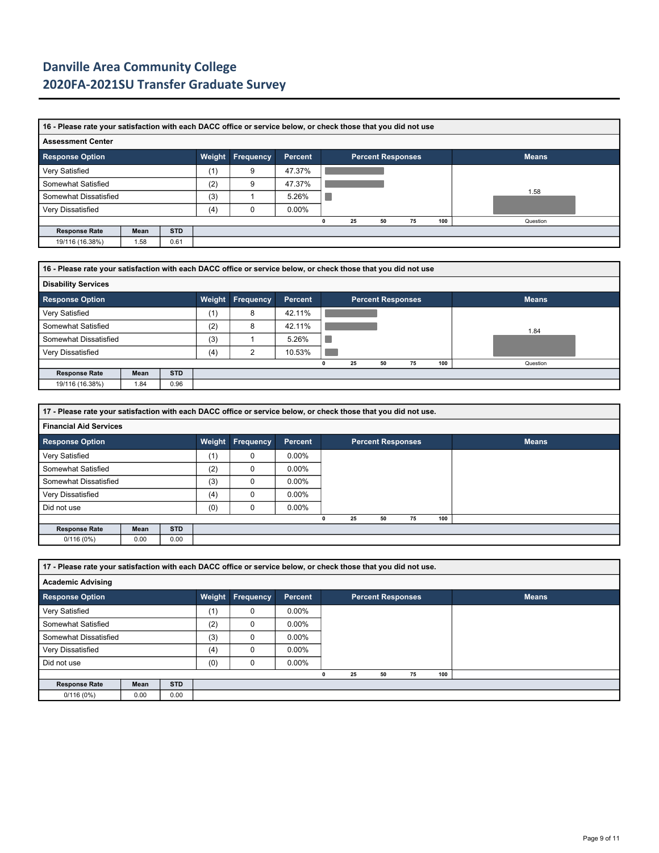|                          | 16 - Please rate your satisfaction with each DACC office or service below, or check those that you did not use |            |     |   |                |   |    |    |                          |     |              |  |  |  |
|--------------------------|----------------------------------------------------------------------------------------------------------------|------------|-----|---|----------------|---|----|----|--------------------------|-----|--------------|--|--|--|
| <b>Assessment Center</b> |                                                                                                                |            |     |   |                |   |    |    |                          |     |              |  |  |  |
| <b>Response Option</b>   |                                                                                                                |            |     |   | <b>Percent</b> |   |    |    | <b>Percent Responses</b> |     | <b>Means</b> |  |  |  |
| Very Satisfied           |                                                                                                                |            | (1) | 9 | 47.37%         |   |    |    |                          |     |              |  |  |  |
| Somewhat Satisfied       |                                                                                                                |            | (2) | 9 | 47.37%         |   |    |    |                          |     |              |  |  |  |
| Somewhat Dissatisfied    |                                                                                                                |            | (3) |   | 5.26%          |   |    |    |                          |     | 1.58         |  |  |  |
| Very Dissatisfied        |                                                                                                                |            | (4) |   | $0.00\%$       |   |    |    |                          |     |              |  |  |  |
|                          |                                                                                                                |            |     |   |                | 0 | 25 | 50 | 75                       | 100 | Question     |  |  |  |
| <b>Response Rate</b>     | Mean                                                                                                           | <b>STD</b> |     |   |                |   |    |    |                          |     |              |  |  |  |
| 19/116 (16.38%)          | 1.58                                                                                                           | 0.61       |     |   |                |   |    |    |                          |     |              |  |  |  |

| 16 - Please rate your satisfaction with each DACC office or service below, or check those that you did not use |      |            |        |           |         |  |    |                          |    |     |              |  |  |
|----------------------------------------------------------------------------------------------------------------|------|------------|--------|-----------|---------|--|----|--------------------------|----|-----|--------------|--|--|
| <b>Disability Services</b>                                                                                     |      |            |        |           |         |  |    |                          |    |     |              |  |  |
| <b>Response Option</b>                                                                                         |      |            | Weight | Frequency | Percent |  |    | <b>Percent Responses</b> |    |     | <b>Means</b> |  |  |
| Very Satisfied                                                                                                 |      |            | (1)    | 8         | 42.11%  |  |    |                          |    |     |              |  |  |
| Somewhat Satisfied                                                                                             |      |            | (2)    | 8         | 42.11%  |  |    |                          |    |     | 1.84         |  |  |
| Somewhat Dissatisfied                                                                                          |      |            | (3)    |           | 5.26%   |  |    |                          |    |     |              |  |  |
| Very Dissatisfied                                                                                              |      |            | (4)    | າ         | 10.53%  |  |    |                          |    |     |              |  |  |
|                                                                                                                |      |            |        |           |         |  | 25 | 50                       | 75 | 100 | Question     |  |  |
| <b>Response Rate</b>                                                                                           | Mean | <b>STD</b> |        |           |         |  |    |                          |    |     |              |  |  |
| 19/116 (16.38%)                                                                                                | 1.84 | 0.96       |        |           |         |  |    |                          |    |     |              |  |  |

|                               | 17 - Please rate your satisfaction with each DACC office or service below, or check those that you did not use. |            |        |                  |          |  |    |                          |    |     |              |  |  |  |
|-------------------------------|-----------------------------------------------------------------------------------------------------------------|------------|--------|------------------|----------|--|----|--------------------------|----|-----|--------------|--|--|--|
| <b>Financial Aid Services</b> |                                                                                                                 |            |        |                  |          |  |    |                          |    |     |              |  |  |  |
| <b>Response Option</b>        |                                                                                                                 |            | Weight | <b>Frequency</b> | Percent  |  |    | <b>Percent Responses</b> |    |     | <b>Means</b> |  |  |  |
| Very Satisfied                |                                                                                                                 |            | (1)    | 0                | $0.00\%$ |  |    |                          |    |     |              |  |  |  |
| Somewhat Satisfied            |                                                                                                                 |            | (2)    | 0                | $0.00\%$ |  |    |                          |    |     |              |  |  |  |
| Somewhat Dissatisfied         |                                                                                                                 |            | (3)    | $\Omega$         | $0.00\%$ |  |    |                          |    |     |              |  |  |  |
| Very Dissatisfied             |                                                                                                                 |            | (4)    | 0                | $0.00\%$ |  |    |                          |    |     |              |  |  |  |
| Did not use                   |                                                                                                                 |            | (0)    | 0                | $0.00\%$ |  |    |                          |    |     |              |  |  |  |
|                               |                                                                                                                 |            |        |                  |          |  | 25 | 50                       | 75 | 100 |              |  |  |  |
| <b>Response Rate</b>          | Mean                                                                                                            | <b>STD</b> |        |                  |          |  |    |                          |    |     |              |  |  |  |
| 0/116(0%)                     | 0.00                                                                                                            | 0.00       |        |                  |          |  |    |                          |    |     |              |  |  |  |

**17 - Please rate your satisfaction with each DACC office or service below, or check those that you did not use. Academic Advising Response Option Weight Frequency Percent Percent Responses Means** Very Satisfied (1) 0 0.00% Somewhat Satisfied (2) 0 0.00% Somewhat Dissatisfied (3) 0 0.00% Very Dissatisfied (4) 0 0.00% Did not use (0) 0 0.00% **0 25 50 75 100 Response Rate Mean STD**  $0/116(0%)$  0.00 0.00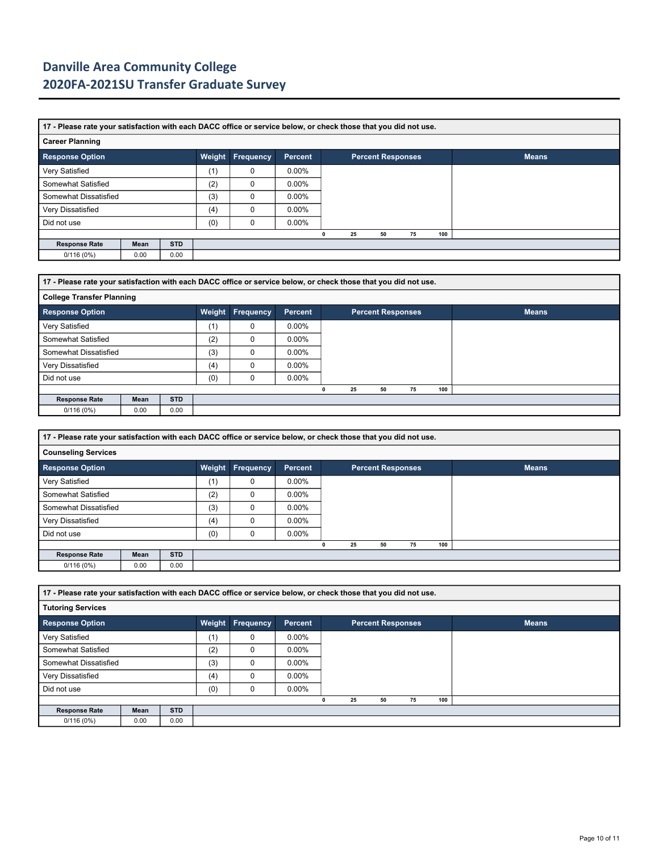|                        | 17 - Please rate your satisfaction with each DACC office or service below, or check those that you did not use. |            |        |           |          |  |    |    |                          |     |              |  |  |
|------------------------|-----------------------------------------------------------------------------------------------------------------|------------|--------|-----------|----------|--|----|----|--------------------------|-----|--------------|--|--|
| <b>Career Planning</b> |                                                                                                                 |            |        |           |          |  |    |    |                          |     |              |  |  |
| <b>Response Option</b> |                                                                                                                 |            | Weight | Frequency | Percent  |  |    |    | <b>Percent Responses</b> |     | <b>Means</b> |  |  |
| Very Satisfied         |                                                                                                                 |            | (1)    | $\Omega$  | $0.00\%$ |  |    |    |                          |     |              |  |  |
| Somewhat Satisfied     |                                                                                                                 |            | (2)    | $\Omega$  | $0.00\%$ |  |    |    |                          |     |              |  |  |
| Somewhat Dissatisfied  |                                                                                                                 |            | (3)    | 0         | $0.00\%$ |  |    |    |                          |     |              |  |  |
| Very Dissatisfied      |                                                                                                                 |            | (4)    | $\Omega$  | $0.00\%$ |  |    |    |                          |     |              |  |  |
| Did not use            |                                                                                                                 |            | (0)    | $\Omega$  | $0.00\%$ |  |    |    |                          |     |              |  |  |
|                        |                                                                                                                 |            |        |           |          |  | 25 | 50 | 75                       | 100 |              |  |  |
| <b>Response Rate</b>   | Mean                                                                                                            | <b>STD</b> |        |           |          |  |    |    |                          |     |              |  |  |
| 0/116(0%)              | 0.00                                                                                                            | 0.00       |        |           |          |  |    |    |                          |     |              |  |  |

|                                  | 17 - Please rate your satisfaction with each DACC office or service below, or check those that you did not use. |            |     |                  |                |  |    |                          |    |     |              |  |  |  |
|----------------------------------|-----------------------------------------------------------------------------------------------------------------|------------|-----|------------------|----------------|--|----|--------------------------|----|-----|--------------|--|--|--|
| <b>College Transfer Planning</b> |                                                                                                                 |            |     |                  |                |  |    |                          |    |     |              |  |  |  |
| <b>Response Option</b>           |                                                                                                                 |            |     | Weight Frequency | <b>Percent</b> |  |    | <b>Percent Responses</b> |    |     | <b>Means</b> |  |  |  |
| Very Satisfied                   |                                                                                                                 |            | (1) | 0                | $0.00\%$       |  |    |                          |    |     |              |  |  |  |
| Somewhat Satisfied               |                                                                                                                 |            | (2) | 0                | $0.00\%$       |  |    |                          |    |     |              |  |  |  |
| Somewhat Dissatisfied            |                                                                                                                 |            | (3) | $\Omega$         | $0.00\%$       |  |    |                          |    |     |              |  |  |  |
| Very Dissatisfied                |                                                                                                                 |            | (4) | 0                | $0.00\%$       |  |    |                          |    |     |              |  |  |  |
| Did not use                      |                                                                                                                 |            | (0) | $\Omega$         | $0.00\%$       |  |    |                          |    |     |              |  |  |  |
|                                  |                                                                                                                 |            |     |                  |                |  | 25 | 50                       | 75 | 100 |              |  |  |  |
| <b>Response Rate</b>             | Mean                                                                                                            | <b>STD</b> |     |                  |                |  |    |                          |    |     |              |  |  |  |
| 0/116(0%)                        | 0.00                                                                                                            | 0.00       |     |                  |                |  |    |                          |    |     |              |  |  |  |

|                            | 17 - Please rate your satisfaction with each DACC office or service below, or check those that you did not use. |            |        |           |                |  |    |                          |    |     |              |  |  |
|----------------------------|-----------------------------------------------------------------------------------------------------------------|------------|--------|-----------|----------------|--|----|--------------------------|----|-----|--------------|--|--|
| <b>Counseling Services</b> |                                                                                                                 |            |        |           |                |  |    |                          |    |     |              |  |  |
| <b>Response Option</b>     |                                                                                                                 |            | Weight | Frequency | <b>Percent</b> |  |    | <b>Percent Responses</b> |    |     | <b>Means</b> |  |  |
| Very Satisfied             |                                                                                                                 |            | (1)    | 0         | $0.00\%$       |  |    |                          |    |     |              |  |  |
| Somewhat Satisfied         |                                                                                                                 |            | (2)    | $\Omega$  | $0.00\%$       |  |    |                          |    |     |              |  |  |
| Somewhat Dissatisfied      |                                                                                                                 |            | (3)    | $\Omega$  | $0.00\%$       |  |    |                          |    |     |              |  |  |
| Very Dissatisfied          |                                                                                                                 |            | (4)    | $\Omega$  | $0.00\%$       |  |    |                          |    |     |              |  |  |
| Did not use                |                                                                                                                 |            | (0)    | $\Omega$  | $0.00\%$       |  |    |                          |    |     |              |  |  |
|                            |                                                                                                                 |            |        |           |                |  | 25 | 50                       | 75 | 100 |              |  |  |
| <b>Response Rate</b>       | Mean                                                                                                            | <b>STD</b> |        |           |                |  |    |                          |    |     |              |  |  |
| 0/116(0%)                  | 0.00                                                                                                            | 0.00       |        |           |                |  |    |                          |    |     |              |  |  |

|                          | 17 - Please rate your satisfaction with each DACC office or service below, or check those that you did not use. |            |     |                         |                |  |    |    |                          |  |              |  |  |  |
|--------------------------|-----------------------------------------------------------------------------------------------------------------|------------|-----|-------------------------|----------------|--|----|----|--------------------------|--|--------------|--|--|--|
| <b>Tutoring Services</b> |                                                                                                                 |            |     |                         |                |  |    |    |                          |  |              |  |  |  |
| <b>Response Option</b>   |                                                                                                                 |            |     | <b>Weight Frequency</b> | <b>Percent</b> |  |    |    | <b>Percent Responses</b> |  | <b>Means</b> |  |  |  |
| Very Satisfied           |                                                                                                                 |            | (1) | $\mathbf 0$             | $0.00\%$       |  |    |    |                          |  |              |  |  |  |
| Somewhat Satisfied       |                                                                                                                 |            | (2) | $\Omega$                | $0.00\%$       |  |    |    |                          |  |              |  |  |  |
| Somewhat Dissatisfied    |                                                                                                                 |            | (3) | 0                       | $0.00\%$       |  |    |    |                          |  |              |  |  |  |
| Very Dissatisfied        |                                                                                                                 |            | (4) | $\Omega$                | $0.00\%$       |  |    |    |                          |  |              |  |  |  |
| Did not use              |                                                                                                                 |            | (0) | 0                       | $0.00\%$       |  |    |    |                          |  |              |  |  |  |
|                          |                                                                                                                 |            |     |                         |                |  | 25 | 50 | 75                       |  | 100          |  |  |  |
| <b>Response Rate</b>     | Mean                                                                                                            | <b>STD</b> |     |                         |                |  |    |    |                          |  |              |  |  |  |
| 0/116(0%)                | 0.00                                                                                                            | 0.00       |     |                         |                |  |    |    |                          |  |              |  |  |  |